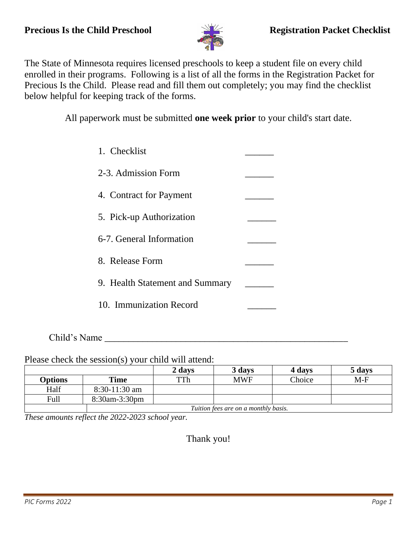

The State of Minnesota requires licensed preschools to keep a student file on every child enrolled in their programs. Following is a list of all the forms in the Registration Packet for Precious Is the Child. Please read and fill them out completely; you may find the checklist below helpful for keeping track of the forms.

All paperwork must be submitted **one week prior** to your child's start date.

| 1. Checklist                    |  |
|---------------------------------|--|
| 2-3. Admission Form             |  |
| 4. Contract for Payment         |  |
| 5. Pick-up Authorization        |  |
| 6-7. General Information        |  |
| 8. Release Form                 |  |
| 9. Health Statement and Summary |  |
| 10. Immunization Record         |  |
|                                 |  |

Child's Name

Please check the session(s) your child will attend:

|                |                                      | 2 days | 3 days     | 4 days | 5 days |
|----------------|--------------------------------------|--------|------------|--------|--------|
| <b>Options</b> | Time                                 | TTh    | <b>MWF</b> | Choice | $M-F$  |
| Half           | $8:30-11:30$ am                      |        |            |        |        |
| Full           | 8:30am-3:30pm                        |        |            |        |        |
|                | Tuition fees are on a monthly basis. |        |            |        |        |

*These amounts reflect the 2022-2023 school year.*

Thank you!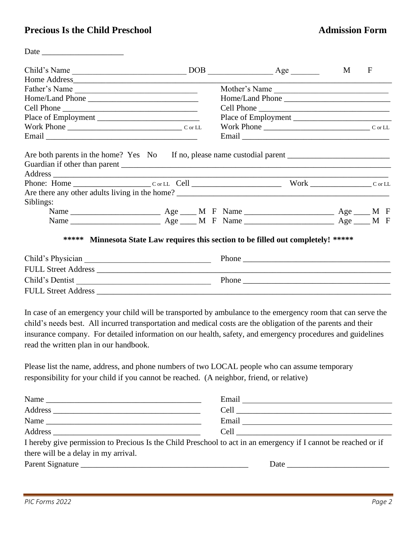#### **Precious Is the Child Preschool Admission Form**

Date \_\_\_\_\_\_\_\_\_\_\_\_\_\_\_\_\_\_\_\_

| Child's Name                                                                                                                                                                                                                                                          |  | $DOB$ $Age$         | M <sub>1</sub> | $\mathbf F$ |
|-----------------------------------------------------------------------------------------------------------------------------------------------------------------------------------------------------------------------------------------------------------------------|--|---------------------|----------------|-------------|
|                                                                                                                                                                                                                                                                       |  |                     |                |             |
| Father's Name                                                                                                                                                                                                                                                         |  | Mother's Name       |                |             |
|                                                                                                                                                                                                                                                                       |  |                     |                |             |
| Cell Phone                                                                                                                                                                                                                                                            |  |                     |                |             |
|                                                                                                                                                                                                                                                                       |  | Place of Employment |                |             |
|                                                                                                                                                                                                                                                                       |  |                     |                |             |
|                                                                                                                                                                                                                                                                       |  |                     |                |             |
| Phone: Home $\_\_\_\_\_$ $\_\_\_$ $\_\_\_$ $\_\_\_$ $\_\_$ $\_\_$ $\_\_$ $\_\_$ $\_\_$ $\_\_$ $\_\_$ $\_\_$ $\_\_$ $\_\_$ $\_\_$ $\_\_$ $\_\_$ $\_\_$ $\_\_$ $\_\_$ $\_\_$ $\_\_$ $\_\_$ $\_\_$ $\_\_$ $\_\_$ $\_\_$ $\_\_$ $\_\_$ $\_\_$ $\_\_$ $\_\_$ $\_\_$ $\_\_$ |  |                     |                |             |
| Are there any other adults living in the home?                                                                                                                                                                                                                        |  |                     |                |             |
| Siblings:                                                                                                                                                                                                                                                             |  |                     |                |             |
|                                                                                                                                                                                                                                                                       |  |                     |                |             |
|                                                                                                                                                                                                                                                                       |  |                     |                |             |
| ***** Minnesota State Law requires this section to be filled out completely! *****                                                                                                                                                                                    |  |                     |                |             |
|                                                                                                                                                                                                                                                                       |  | Phone               |                |             |
|                                                                                                                                                                                                                                                                       |  |                     |                |             |
| Child's Dentist                                                                                                                                                                                                                                                       |  | Phone               |                |             |
|                                                                                                                                                                                                                                                                       |  |                     |                |             |

In case of an emergency your child will be transported by ambulance to the emergency room that can serve the child's needs best. All incurred transportation and medical costs are the obligation of the parents and their insurance company. For detailed information on our health, safety, and emergency procedures and guidelines read the written plan in our handbook.

Please list the name, address, and phone numbers of two LOCAL people who can assume temporary responsibility for your child if you cannot be reached. (A neighbor, friend, or relative)

|                                      | Email<br><u> 1989 - Andrea Station Barbara, amerikan personal (h. 1989)</u>                                                                                                                                                    |
|--------------------------------------|--------------------------------------------------------------------------------------------------------------------------------------------------------------------------------------------------------------------------------|
|                                      |                                                                                                                                                                                                                                |
| Name                                 | Email                                                                                                                                                                                                                          |
|                                      |                                                                                                                                                                                                                                |
|                                      | I hereby give permission to Precious Is the Child Preschool to act in an emergency if I cannot be reached or if                                                                                                                |
| there will be a delay in my arrival. |                                                                                                                                                                                                                                |
|                                      | Date and the contract of the contract of the contract of the contract of the contract of the contract of the contract of the contract of the contract of the contract of the contract of the contract of the contract of the c |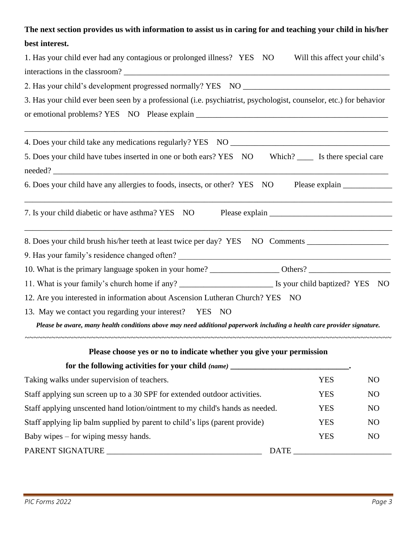### **The next section provides us with information to assist us in caring for and teaching your child in his/her best interest.**

| 1. Has your child ever had any contagious or prolonged illness? YES NO                                                                                                                    | Will this affect your child's |                |
|-------------------------------------------------------------------------------------------------------------------------------------------------------------------------------------------|-------------------------------|----------------|
|                                                                                                                                                                                           |                               |                |
|                                                                                                                                                                                           |                               |                |
| 3. Has your child ever been seen by a professional (i.e. psychiatrist, psychologist, counselor, etc.) for behavior                                                                        |                               |                |
|                                                                                                                                                                                           |                               |                |
| 5. Does your child have tubes inserted in one or both ears? YES NO Which? ____ Is there special care                                                                                      |                               |                |
| 6. Does your child have any allergies to foods, insects, or other? YES NO                                                                                                                 |                               |                |
| 7. Is your child diabetic or have asthma? YES NO                                                                                                                                          |                               |                |
| 8. Does your child brush his/her teeth at least twice per day? YES NO Comments _____________________<br>9. Has your family's residence changed often? ___________________________________ |                               |                |
|                                                                                                                                                                                           |                               |                |
| 11. What is your family's church home if any? ___________________________________ Is your child baptized? YES NO                                                                          |                               |                |
| 12. Are you interested in information about Ascension Lutheran Church? YES NO                                                                                                             |                               |                |
| 13. May we contact you regarding your interest? YES NO                                                                                                                                    |                               |                |
| Please be aware, many health conditions above may need additional paperwork including a health care provider signature.                                                                   |                               |                |
| Please choose yes or no to indicate whether you give your permission                                                                                                                      |                               |                |
| for the following activities for your child (name) _____________________________.                                                                                                         |                               |                |
| Taking walks under supervision of teachers.                                                                                                                                               | <b>YES</b>                    | N <sub>O</sub> |

| Staff applying sun screen up to a 30 SPF for extended outdoor activities.    |             | YES | NO. |
|------------------------------------------------------------------------------|-------------|-----|-----|
| Staff applying unscented hand lotion/ointment to my child's hands as needed. |             | YES | NO. |
| Staff applying lip balm supplied by parent to child's lips (parent provide)  |             | YES | NO. |
| Baby wipes $-$ for wiping messy hands.                                       |             | YES | NO. |
| PARENT SIGNATURE                                                             | <b>DATE</b> |     |     |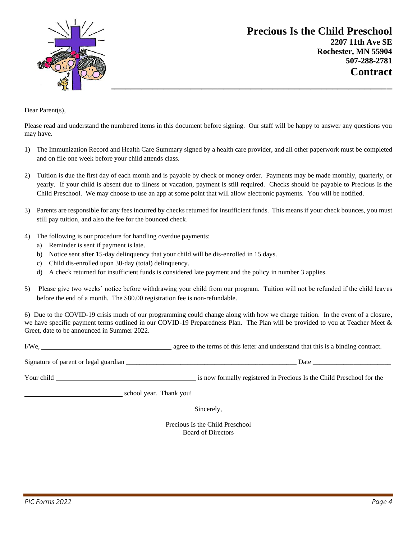

**Precious Is the Child Preschool 2207 11th Ave SE Rochester, MN 55904 507-288-2781 Contract**

Dear Parent(s).

Please read and understand the numbered items in this document before signing. Our staff will be happy to answer any questions you may have.

- 1) The Immunization Record and Health Care Summary signed by a health care provider, and all other paperwork must be completed and on file one week before your child attends class.
- 2) Tuition is due the first day of each month and is payable by check or money order. Payments may be made monthly, quarterly, or yearly. If your child is absent due to illness or vacation, payment is still required. Checks should be payable to Precious Is the Child Preschool. We may choose to use an app at some point that will allow electronic payments. You will be notified.
- 3) Parents are responsible for any fees incurred by checks returned for insufficient funds. This means if your check bounces, you must still pay tuition, and also the fee for the bounced check.
- 4) The following is our procedure for handling overdue payments:
	- a) Reminder is sent if payment is late.
	- b) Notice sent after 15-day delinquency that your child will be dis-enrolled in 15 days.
	- c) Child dis-enrolled upon 30-day (total) delinquency.
	- d) A check returned for insufficient funds is considered late payment and the policy in number 3 applies.
- 5) Please give two weeks' notice before withdrawing your child from our program. Tuition will not be refunded if the child leaves before the end of a month. The \$80.00 registration fee is non-refundable.

6) Due to the COVID-19 crisis much of our programming could change along with how we charge tuition. In the event of a closure, we have specific payment terms outlined in our COVID-19 Preparedness Plan. The Plan will be provided to you at Teacher Meet & Greet, date to be announced in Summer 2022.

I/We, agree to the terms of this letter and understand that this is a binding contract.

Signature of parent or legal guardian \_\_\_\_\_\_\_\_\_\_\_\_\_\_\_\_\_\_\_\_\_\_\_\_\_\_\_\_\_\_\_\_\_\_\_\_\_\_\_\_\_\_\_\_\_\_\_\_\_\_ Date \_\_\_\_\_\_\_\_\_\_\_\_\_\_\_\_\_\_\_\_\_\_\_

Your child is now formally registered in Precious Is the Child Preschool for the

school year. Thank you!

Sincerely,

Precious Is the Child Preschool Board of Directors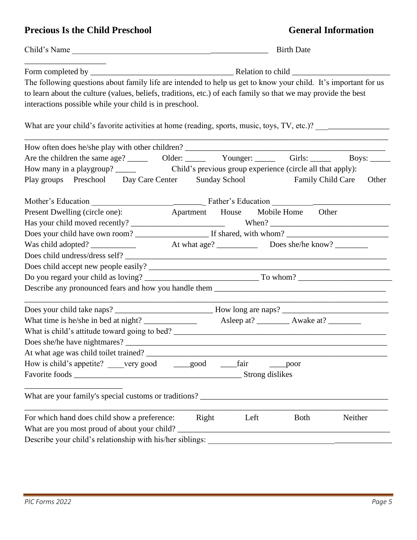### **Precious Is the Child Preschool General Information**

|                                                                                                                                                                                                                                                                                             | <b>Birth Date</b><br>Child's Name |      |             |         |
|---------------------------------------------------------------------------------------------------------------------------------------------------------------------------------------------------------------------------------------------------------------------------------------------|-----------------------------------|------|-------------|---------|
|                                                                                                                                                                                                                                                                                             |                                   |      |             |         |
| The following questions about family life are intended to help us get to know your child. It's important for us<br>to learn about the culture (values, beliefs, traditions, etc.) of each family so that we may provide the best<br>interactions possible while your child is in preschool. |                                   |      |             |         |
| What are your child's favorite activities at home (reading, sports, music, toys, TV, etc.)?                                                                                                                                                                                                 |                                   |      |             |         |
|                                                                                                                                                                                                                                                                                             |                                   |      |             |         |
|                                                                                                                                                                                                                                                                                             |                                   |      |             |         |
|                                                                                                                                                                                                                                                                                             |                                   |      |             |         |
| Play groups Preschool Day Care Center Sunday School Family Child Care                                                                                                                                                                                                                       |                                   |      |             | Other   |
|                                                                                                                                                                                                                                                                                             |                                   |      |             |         |
| Present Dwelling (circle one): Apartment House Mobile Home Other                                                                                                                                                                                                                            |                                   |      |             |         |
|                                                                                                                                                                                                                                                                                             |                                   |      |             |         |
|                                                                                                                                                                                                                                                                                             |                                   |      |             |         |
|                                                                                                                                                                                                                                                                                             |                                   |      |             |         |
|                                                                                                                                                                                                                                                                                             |                                   |      |             |         |
|                                                                                                                                                                                                                                                                                             |                                   |      |             |         |
|                                                                                                                                                                                                                                                                                             |                                   |      |             |         |
|                                                                                                                                                                                                                                                                                             |                                   |      |             |         |
|                                                                                                                                                                                                                                                                                             |                                   |      |             |         |
|                                                                                                                                                                                                                                                                                             |                                   |      |             |         |
|                                                                                                                                                                                                                                                                                             |                                   |      |             |         |
|                                                                                                                                                                                                                                                                                             |                                   |      |             |         |
| At what age was child toilet trained?                                                                                                                                                                                                                                                       |                                   |      |             |         |
| How is child's appetite? _____very good _______good                                                                                                                                                                                                                                         |                                   | fair | poor        |         |
|                                                                                                                                                                                                                                                                                             |                                   |      |             |         |
|                                                                                                                                                                                                                                                                                             |                                   |      |             |         |
| For which hand does child show a preference:                                                                                                                                                                                                                                                | Right                             | Left | <b>Both</b> | Neither |
| What are you most proud of about your child?                                                                                                                                                                                                                                                |                                   |      |             |         |
| Describe your child's relationship with his/her siblings:                                                                                                                                                                                                                                   |                                   |      |             |         |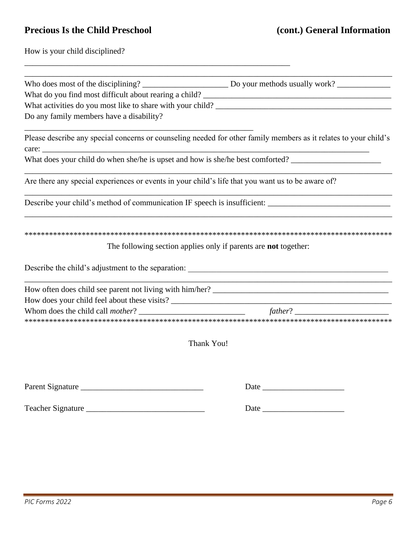## **Precious Is the Child Preschool (cont.) General Information**

\_\_\_\_\_\_\_\_\_\_\_\_\_\_\_\_\_\_\_\_\_\_\_\_\_\_\_\_\_\_\_\_\_\_\_\_\_\_\_\_\_\_\_\_\_\_\_\_\_\_\_\_\_\_\_\_\_\_\_\_\_\_\_\_\_

How is your child disciplined?

| Do any family members have a disability?                                                                                  |
|---------------------------------------------------------------------------------------------------------------------------|
| Please describe any special concerns or counseling needed for other family members as it relates to your child's<br>care: |
| What does your child do when she/he is upset and how is she/he best comforted?                                            |
| Are there any special experiences or events in your child's life that you want us to be aware of?                         |
| Describe your child's method of communication IF speech is insufficient: ___________________________                      |
|                                                                                                                           |
| The following section applies only if parents are <b>not</b> together:                                                    |
|                                                                                                                           |
|                                                                                                                           |
|                                                                                                                           |
|                                                                                                                           |
|                                                                                                                           |
| Thank You!                                                                                                                |
|                                                                                                                           |
| Parent Signature                                                                                                          |
|                                                                                                                           |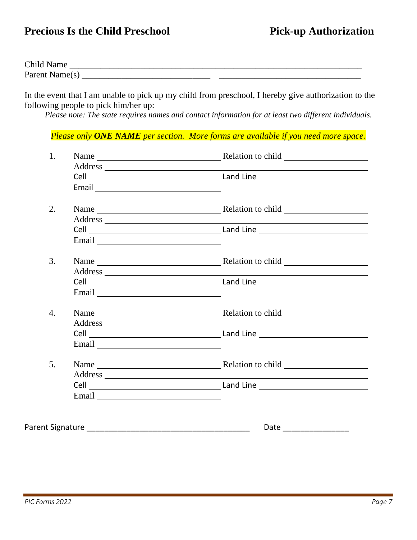## **Precious Is the Child Preschool Pick-up Authorization**

| Child          |      |  |
|----------------|------|--|
| Parent Name(s) | ____ |  |

In the event that I am unable to pick up my child from preschool, I hereby give authorization to the following people to pick him/her up:

*Please note: The state requires names and contact information for at least two different individuals.*

#### *Please only ONE NAME per section. More forms are available if you need more space.*

| 1.               |                       |
|------------------|-----------------------|
| 2.               |                       |
|                  |                       |
| 3.               |                       |
|                  |                       |
| $\overline{4}$ . |                       |
|                  |                       |
| 5.               |                       |
|                  |                       |
|                  | Date ________________ |